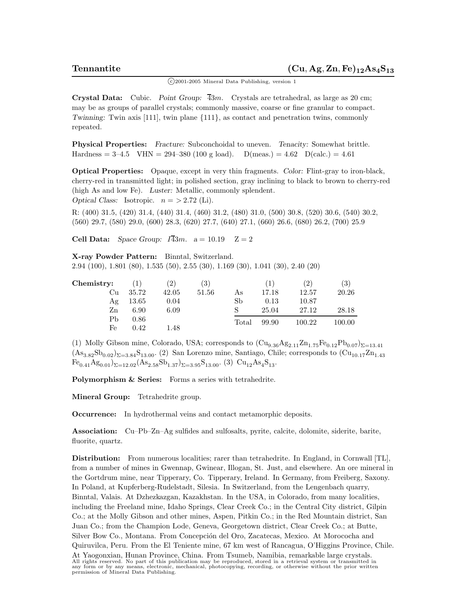<sup>c</sup> 2001-2005 Mineral Data Publishing, version 1

**Crystal Data:** Cubic. *Point Group:*  $\overline{43}m$ . Crystals are tetrahedral, as large as 20 cm; may be as groups of parallel crystals; commonly massive, coarse or fine granular to compact. *Twinning:* Twin axis [111], twin plane  $\{111\}$ , as contact and penetration twins, commonly repeated.

**Physical Properties:** *Fracture:* Subconchoidal to uneven. *Tenacity:* Somewhat brittle. Hardness = 3–4.5 VHN = 294–380 (100 g load). D(meas.) = 4.62 D(calc.) = 4.61

**Optical Properties:** Opaque, except in very thin fragments. *Color:* Flint-gray to iron-black, cherry-red in transmitted light; in polished section, gray inclining to black to brown to cherry-red (high As and low Fe). *Luster:* Metallic, commonly splendent. *Optical Class:* Isotropic.  $n = > 2.72$  (Li).

R: (400) 31.5, (420) 31.4, (440) 31.4, (460) 31.2, (480) 31.0, (500) 30.8, (520) 30.6, (540) 30.2, (560) 29.7, (580) 29.0, (600) 28.3, (620) 27.7, (640) 27.1, (660) 26.6, (680) 26.2, (700) 25.9

**Cell Data:** *Space Group:*  $I\overline{4}3m$ .  $a = 10.19$   $Z = 2$ 

**X-ray Powder Pattern:** Binntal, Switzerland. 2.94 (100), 1.801 (80), 1.535 (50), 2.55 (30), 1.169 (30), 1.041 (30), 2.40 (20)

| Chemistry: |       | (2)   | $\left( 3\right)$ |       | $\perp$ | $2^{\circ}$ | (3)    |
|------------|-------|-------|-------------------|-------|---------|-------------|--------|
| Cu         | 35.72 | 42.05 | 51.56             | As    | 17.18   | 12.57       | 20.26  |
| Ag         | 13.65 | 0.04  |                   | Sb    | 0.13    | 10.87       |        |
| Zn         | 6.90  | 6.09  |                   |       | 25.04   | 27.12       | 28.18  |
| Pb         | 0.86  |       |                   | Total | 99.90   | 100.22      | 100.00 |
| Fe         | 0.42  | 1.48  |                   |       |         |             |        |

(1) Molly Gibson mine, Colorado, USA; corresponds to  $\left(\text{Cu}_{9.36}\text{Ag}_{2.11}\text{Zn}_{1.75}\text{Fe}_{0.12}\text{Pb}_{0.07}\right)_{\Sigma=13.41}$  $(As_{3.82}Sb_{0.02})_{\Sigma=3.84}S_{13.00}$ . (2) San Lorenzo mine, Santiago, Chile; corresponds to  $(Cu_{10.17}Zn_{1.43}$  $Fe_{0.41}Ag_{0.01}$ )<sub> $\Sigma=12.02$ </sub> $(As_{2.58}Sb_{1.37})$ <sub> $\Sigma=3.95$ </sub> $S_{13.00}$ . (3)  $Cu_{12}As_{4}S_{13}$ .

**Polymorphism & Series:** Forms a series with tetrahedrite.

**Mineral Group:** Tetrahedrite group.

**Occurrence:** In hydrothermal veins and contact metamorphic deposits.

**Association:** Cu–Pb–Zn–Ag sulfides and sulfosalts, pyrite, calcite, dolomite, siderite, barite, fluorite, quartz.

**Distribution:** From numerous localities; rarer than tetrahedrite. In England, in Cornwall [TL], from a number of mines in Gwennap, Gwinear, Illogan, St. Just, and elsewhere. An ore mineral in the Gortdrum mine, near Tipperary, Co. Tipperary, Ireland. In Germany, from Freiberg, Saxony. In Poland, at Kupferberg-Rudelstadt, Silesia. In Switzerland, from the Lengenbach quarry, Binntal, Valais. At Dzhezkazgan, Kazakhstan. In the USA, in Colorado, from many localities, including the Freeland mine, Idaho Springs, Clear Creek Co.; in the Central City district, Gilpin Co.; at the Molly Gibson and other mines, Aspen, Pitkin Co.; in the Red Mountain district, San Juan Co.; from the Champion Lode, Geneva, Georgetown district, Clear Creek Co.; at Butte, Silver Bow Co., Montana. From Concepción del Oro, Zacatecas, Mexico. At Morococha and Quiruvilca, Peru. From the El Teniente mine, 67 km west of Rancagua, O'Higgins Province, Chile.

At Yaogonxian, Hunan Province, China. From Tsumeb, Namibia, remarkable large crystals. All rights reserved. No part of this publication may be reproduced, stored in a retrieval system or transmitted in any form or by any means, electronic, mechanical, photocopying, recording, or otherwise without the prior written permission of Mineral Data Publishing.